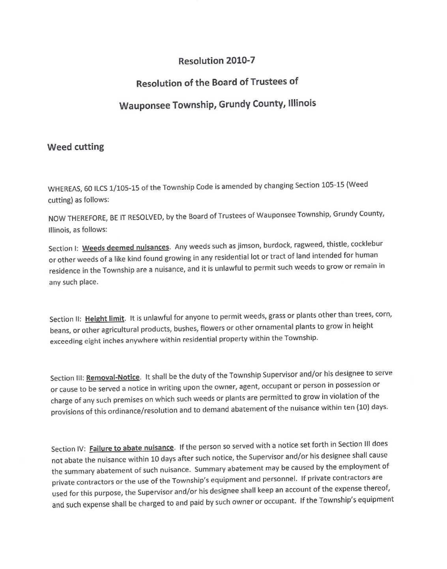### Resolution 2010-7

## Resolution of the Board of Trustees of

# Wauponsee Township, Grundy County, Illinois

### Weed cutting

WHEREAS, 60 ILCS 1/105-15 of the Township Code is amended by changing Section 105-15 (Weed cutting) as follows:

NOW THEREFORE, BE IT RESOLVED, by the Board of Trustees of Wauponsee Township, Grundy County, Illinois, as follows:

Section I: Weeds deemed nuisances. Any weeds such as jimson, burdock, ragweed, thistle, cocklebur or other weeds of a like kind found growing in any residential lot or tract of land intended for human residence in the Township are a nuisance, and it is unlawful to permit such weeds to grow or remain in any such place.

Section II: Height limit. It is unlawful for anyone to permit weeds, grass or plants other than trees, corn, beans, or other agricultural products, bushes, flowers or other ornamental plants to grow in height exceeding eight inches anywhere within residential property within the Township.

Section III: Removal-Notice. It shall be the duty of the Township Supervisor and/or his designee to serve or cause to be served a notice in writing upon the owner, agent, occupant or person in possession or charge of any such premises on which such weeds or plants are permitted to grow in violation of the provisions of this ordinance/resolution and to demand abatement of the nuisance within ten (10) days.

Section IV: Failure to abate nuisance. If the person so served with a notice set forth in Section III does not abate the nuisance within 10 days after such notice, the Supervisor and/or his designee shall cause the summary abatement of such nuisance. Summary abatement may be caused by the employment of private contractors or the use of the Township's equipment and personnel. If private contractors are used for this purpose, the Supervisor and/or his designee shall keep an account of the expense thereof, and such expense shall be charged to and paid by such owner or occupant. If the Township's equipment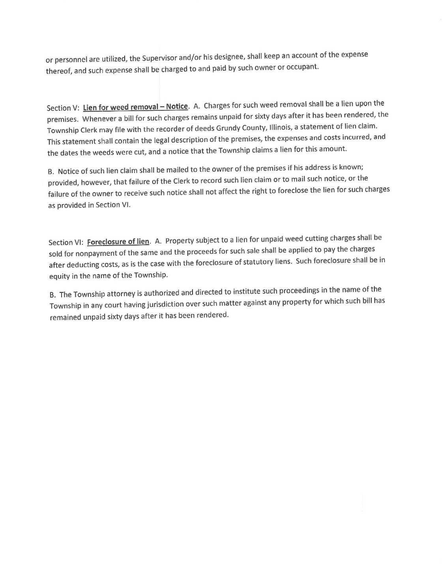or personnel are utilized, the Supervisor and/or his designee, shall keep an account of the expense thereof, and such expense shall be charged to and paid by such owner or occupant.

Section V: **Lien for weed removal — Notice.** A. Charges for such weed removal shall be a lien upon the premises. Whenever a **bill** for such charges remains **unpaid** for sixty days after it has **been rendered,** the Township Clerk may file with the recorder of deeds Grundy County, Illinois, a statement of lien claim. This statement shall contain the legal description of the premises, the expenses and costs incurred, and the dates the weeds were cut, and a notice that the Township claims a lien for this amount.

B. Notice of such **lien** claim shall be mailed to the owner of the premises if his address is known; provided, however, that failure of the Clerk to record such lien claim or to mail such notice, or the failure of the owner to receive such notice shall not affect the right to foreclose the lien for such charges as provided in Section VI.

Section **VI: Foreclosure of lien. A. Property subject to a lien for unpaid weed cutting charges shall be sold for** nonpayment of the same and the proceeds for such sale shall be applied to pay the charges after deducting costs, as is the case with the foreclosure of statutory liens. Such foreclosure shall be in equity in the name of **the Township.** 

**B. The Township attorney is authorized and directed to institute such proceedings in the name of the Township in any court having jurisdiction** over such matter against any property for which such bill has remained unpaid sixty days after it has been rendered.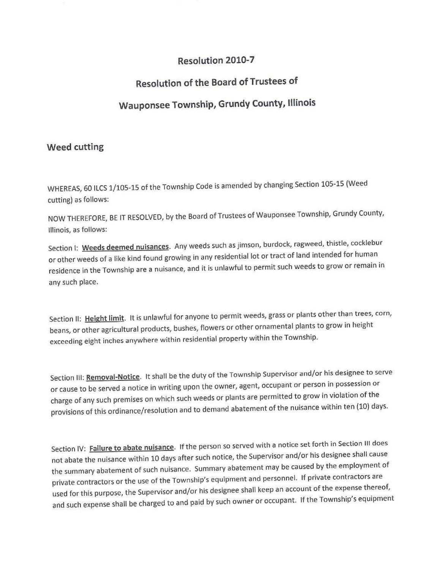### Resolution 2010-7

## Resolution of the Board of Trustees o<sup>f</sup>

## Wauponsee Township, Grundy County, Illinois

### Weed cutting

WHEREAS, 60 ILCS 1/105-15 of the Township Code is amended by changing Section 105-15 (Weed cutting) as follows:

NOW THEREFORE, BE IT RESOLVED, by the Board of Trustees of Wauponsee Township, Grundy County, Illinois, as follows:

Section I: **Weeds deemed nuisances.** Any weeds such as jimson, burdock, ragweed, thistle, cocklebur or other weeds of a like kind found growing in any residential lot or tract of land intended for human residence in the Township are a nuisance, and it is unlawful to permit such weeds to grow or remain in any such place.

Section II: **Height limit.** It is unlawful for anyone to permit weeds, grass or plants other than trees, corn, beans, or other agricultural products, bushes, flowers or other ornamental plants to grow in height exceeding eight inches anywhere within residential property within the Township.

Section III: **Removal-Notice. It** shall be the duty of the Township Supervisor and/or his designee to serve or cause to **be** served a notice in writing upon the owner, agent, occupant or person in possession or charge of any such premises on which such weeds or plants are permitted to grow in violation of the provisions of this ordinance/resolution and to demand abatement of the nuisance within ten (10) days.

Section **IV: Failure to abate nuisance.** If the person so served with a notice set forth in Section III does not abate the nuisance within 10 days after such notice, the Supervisor and/or his designee shall cause the summary abatement of such nuisance. Summary abatement may be caused by the employment of private contractors or the use of the Township's equipment and personnel. If private contractors are used for this purpose, the Supervisor and/or his designee shall keep an account of the expense thereof, and such expense shall be charged to and paid by such owner or occupant. If the Township's equipment